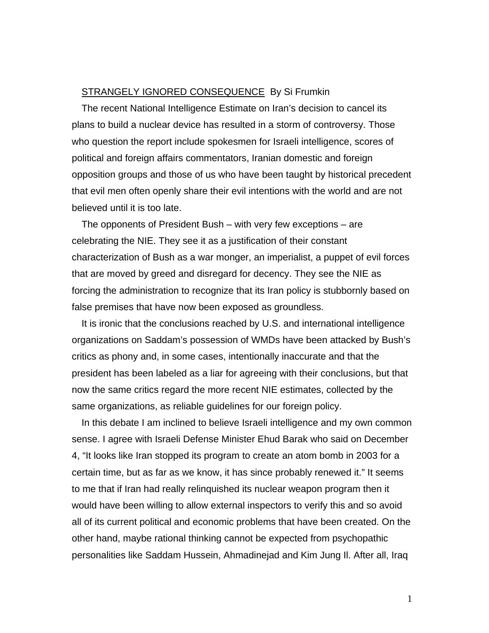## STRANGELY IGNORED CONSEQUENCE By Si Frumkin

The recent National Intelligence Estimate on Iran's decision to cancel its plans to build a nuclear device has resulted in a storm of controversy. Those who question the report include spokesmen for Israeli intelligence, scores of political and foreign affairs commentators, Iranian domestic and foreign opposition groups and those of us who have been taught by historical precedent that evil men often openly share their evil intentions with the world and are not believed until it is too late.

The opponents of President Bush – with very few exceptions – are celebrating the NIE. They see it as a justification of their constant characterization of Bush as a war monger, an imperialist, a puppet of evil forces that are moved by greed and disregard for decency. They see the NIE as forcing the administration to recognize that its Iran policy is stubbornly based on false premises that have now been exposed as groundless.

It is ironic that the conclusions reached by U.S. and international intelligence organizations on Saddam's possession of WMDs have been attacked by Bush's critics as phony and, in some cases, intentionally inaccurate and that the president has been labeled as a liar for agreeing with their conclusions, but that now the same critics regard the more recent NIE estimates, collected by the same organizations, as reliable guidelines for our foreign policy.

In this debate I am inclined to believe Israeli intelligence and my own common sense. I agree with Israeli Defense Minister Ehud Barak who said on December 4, "It looks like Iran stopped its program to create an atom bomb in 2003 for a certain time, but as far as we know, it has since probably renewed it." It seems to me that if Iran had really relinquished its nuclear weapon program then it would have been willing to allow external inspectors to verify this and so avoid all of its current political and economic problems that have been created. On the other hand, maybe rational thinking cannot be expected from psychopathic personalities like Saddam Hussein, Ahmadinejad and Kim Jung Il. After all, Iraq

1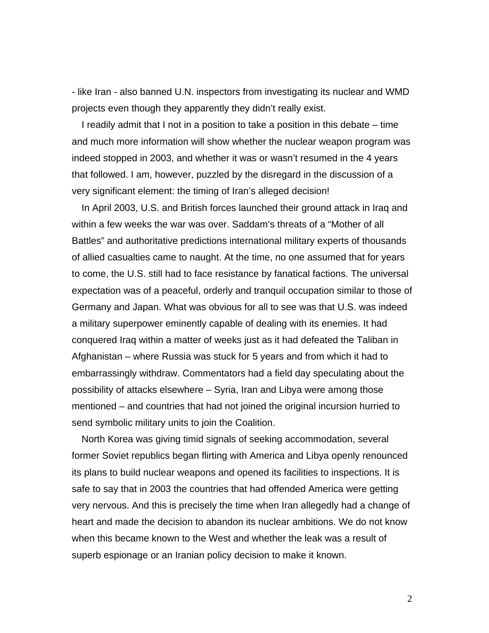- like Iran - also banned U.N. inspectors from investigating its nuclear and WMD projects even though they apparently they didn't really exist.

I readily admit that I not in a position to take a position in this debate – time and much more information will show whether the nuclear weapon program was indeed stopped in 2003, and whether it was or wasn't resumed in the 4 years that followed. I am, however, puzzled by the disregard in the discussion of a very significant element: the timing of Iran's alleged decision!

In April 2003, U.S. and British forces launched their ground attack in Iraq and within a few weeks the war was over. Saddam's threats of a "Mother of all Battles" and authoritative predictions international military experts of thousands of allied casualties came to naught. At the time, no one assumed that for years to come, the U.S. still had to face resistance by fanatical factions. The universal expectation was of a peaceful, orderly and tranquil occupation similar to those of Germany and Japan. What was obvious for all to see was that U.S. was indeed a military superpower eminently capable of dealing with its enemies. It had conquered Iraq within a matter of weeks just as it had defeated the Taliban in Afghanistan – where Russia was stuck for 5 years and from which it had to embarrassingly withdraw. Commentators had a field day speculating about the possibility of attacks elsewhere – Syria, Iran and Libya were among those mentioned – and countries that had not joined the original incursion hurried to send symbolic military units to join the Coalition.

North Korea was giving timid signals of seeking accommodation, several former Soviet republics began flirting with America and Libya openly renounced its plans to build nuclear weapons and opened its facilities to inspections. It is safe to say that in 2003 the countries that had offended America were getting very nervous. And this is precisely the time when Iran allegedly had a change of heart and made the decision to abandon its nuclear ambitions. We do not know when this became known to the West and whether the leak was a result of superb espionage or an Iranian policy decision to make it known.

2